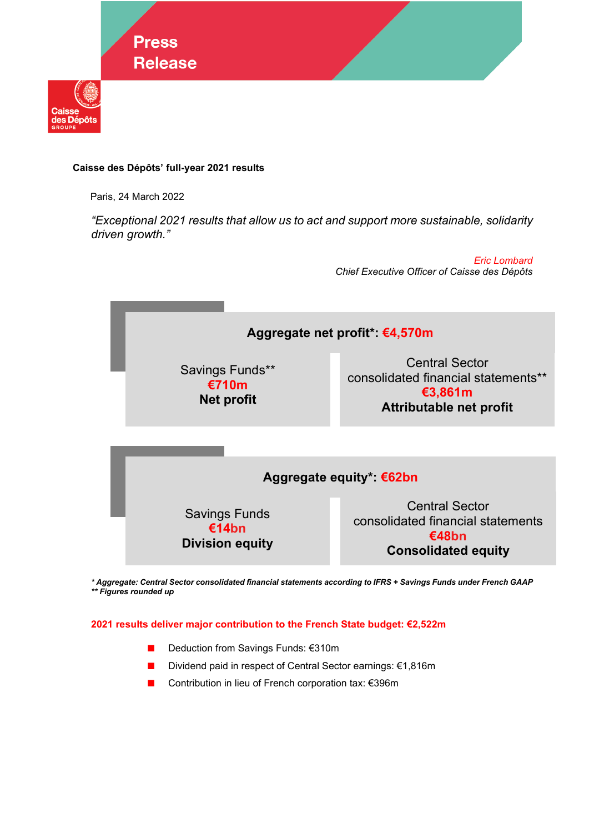

# **Caisse des Dépôts' full-year 2021 results**

Paris, 24 March 2022

*"Exceptional 2021 results that allow us to act and support more sustainable, solidarity driven growth."* 

> *Eric Lombard Chief Executive Officer of Caisse des Dépôts*



*\* Aggregate: Central Sector consolidated financial statements according to IFRS + Savings Funds under French GAAP \*\* Figures rounded up* 

## **2021 results deliver major contribution to the French State budget: €2,522m**

- Deduction from Savings Funds: €310m
- Dividend paid in respect of Central Sector earnings: €1,816m
- Contribution in lieu of French corporation tax: €396m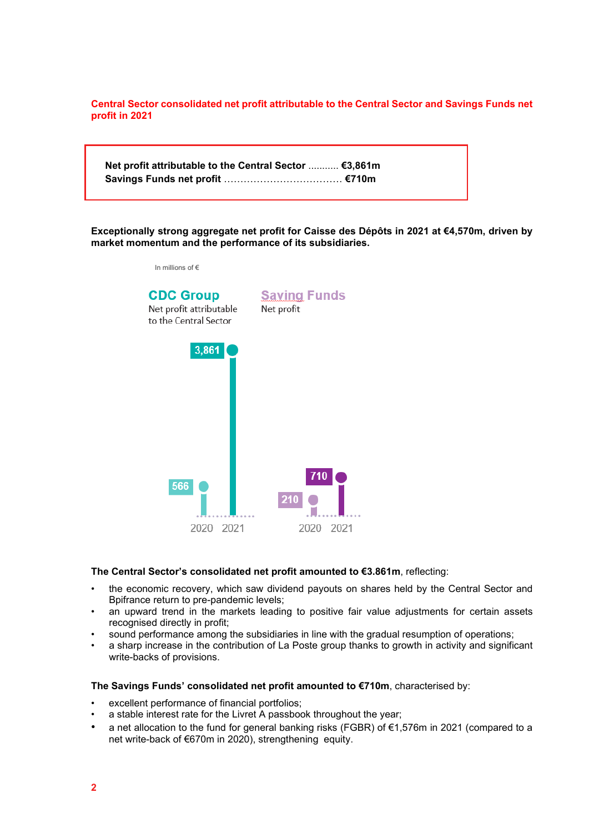**Central Sector consolidated net profit attributable to the Central Sector and Savings Funds net profit in 2021**

**Net profit attributable to the Central Sector** ........... **€3,861m Savings Funds net profit** ……………………………… **€710m** 

**Exceptionally strong aggregate net profit for Caisse des Dépôts in 2021 at €4,570m, driven by market momentum and the performance of its subsidiaries.**



## **The Central Sector's consolidated net profit amounted to €3.861m**, reflecting:

- the economic recovery, which saw dividend payouts on shares held by the Central Sector and Bpifrance return to pre-pandemic levels;
- an upward trend in the markets leading to positive fair value adjustments for certain assets recognised directly in profit:
- sound performance among the subsidiaries in line with the gradual resumption of operations;
- a sharp increase in the contribution of La Poste group thanks to growth in activity and significant write-backs of provisions.

### **The Savings Funds' consolidated net profit amounted to €710m**, characterised by:

- excellent performance of financial portfolios:
- a stable interest rate for the Livret A passbook throughout the year;
- a net allocation to the fund for general banking risks (FGBR) of  $\epsilon$ 1,576m in 2021 (compared to a net write-back of €670m in 2020), strengthening equity.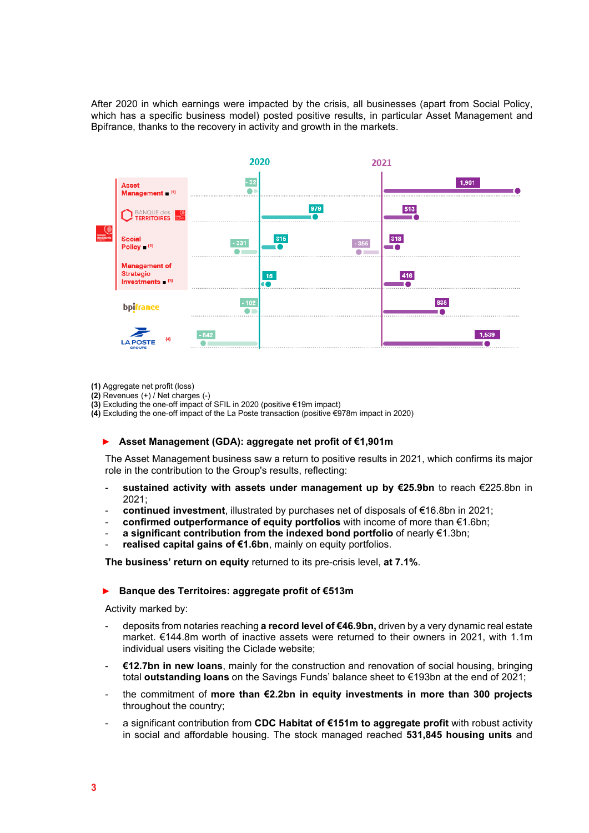After 2020 in which earnings were impacted by the crisis, all businesses (apart from Social Policy, which has a specific business model) posted positive results, in particular Asset Management and Bpifrance, thanks to the recovery in activity and growth in the markets.



- **(1)** Aggregate net profit (loss)
- **(2)** Revenues (+) / Net charges (-)
- **(3)** Excluding the one-off impact of SFIL in 2020 (positive €19m impact)
- **(4)** Excluding the one-off impact of the La Poste transaction (positive €978m impact in 2020)

#### ► **Asset Management (GDA): aggregate net profit of €1,901m**

The Asset Management business saw a return to positive results in 2021, which confirms its major role in the contribution to the Group's results, reflecting:

- sustained activity with assets under management up by €25.9bn to reach €225.8bn in 2021;
- **continued investment**, illustrated by purchases net of disposals of €16.8bn in 2021;
- **confirmed outperformance of equity portfolios** with income of more than €1.6bn;
- **a significant contribution from the indexed bond portfolio** of nearly €1.3bn;
- realised capital gains of €1.6bn, mainly on equity portfolios.

**The business' return on equity** returned to its pre-crisis level, **at 7.1%**.

### ► **Banque des Territoires: aggregate profit of €513m**

Activity marked by:

- deposits from notaries reaching **a record level of €46.9bn,** driven by a very dynamic real estate market. €144.8m worth of inactive assets were returned to their owners in 2021, with 1.1m individual users visiting the Ciclade website;
- **€12.7bn in new loans**, mainly for the construction and renovation of social housing, bringing total **outstanding loans** on the Savings Funds' balance sheet to €193bn at the end of 2021;
- the commitment of **more than €2.2bn in equity investments in more than 300 projects** throughout the country;
- a significant contribution from **CDC Habitat of €151m to aggregate profit** with robust activity in social and affordable housing. The stock managed reached **531,845 housing units** and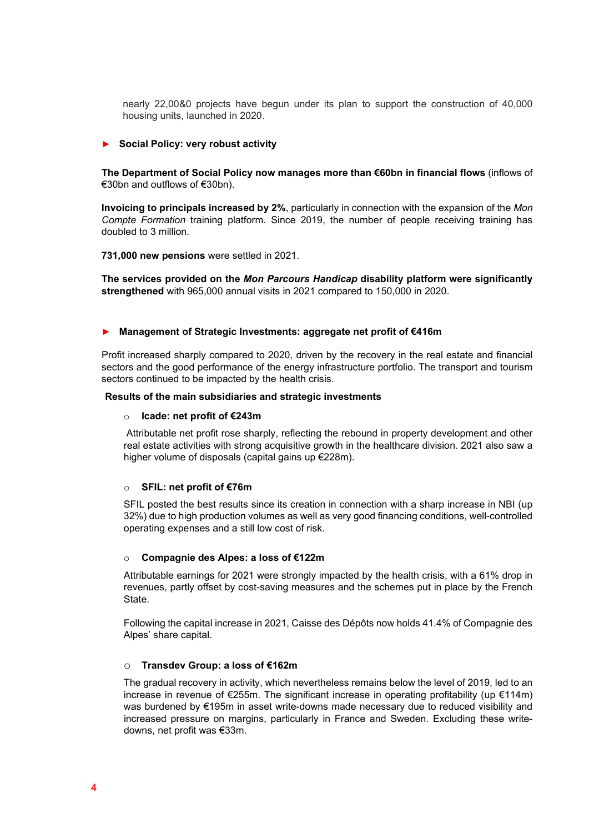nearly 22,00&0 projects have begun under its plan to support the construction of 40,000 housing units, launched in 2020.

## ► **Social Policy: very robust activity**

**The Department of Social Policy now manages more than €60bn in financial flows** (inflows of €30bn and outflows of €30bn).

**Invoicing to principals increased by 2%**, particularly in connection with the expansion of the *Mon Compte Formation* training platform. Since 2019, the number of people receiving training has doubled to 3 million.

**731,000 new pensions** were settled in 2021.

**The services provided on the** *Mon Parcours Handicap* **disability platform were significantly strengthened** with 965,000 annual visits in 2021 compared to 150,000 in 2020.

### ► **Management of Strategic Investments: aggregate net profit of €416m**

Profit increased sharply compared to 2020, driven by the recovery in the real estate and financial sectors and the good performance of the energy infrastructure portfolio. The transport and tourism sectors continued to be impacted by the health crisis.

#### **Results of the main subsidiaries and strategic investments**

### o **Icade: net profit of €243m**

Attributable net profit rose sharply, reflecting the rebound in property development and other real estate activities with strong acquisitive growth in the healthcare division. 2021 also saw a higher volume of disposals (capital gains up €228m).

#### o **SFIL: net profit of €76m**

SFIL posted the best results since its creation in connection with a sharp increase in NBI (up 32%) due to high production volumes as well as very good financing conditions, well-controlled operating expenses and a still low cost of risk.

## o **Compagnie des Alpes: a loss of €122m**

Attributable earnings for 2021 were strongly impacted by the health crisis, with a 61% drop in revenues, partly offset by cost-saving measures and the schemes put in place by the French State.

Following the capital increase in 2021, Caisse des Dépôts now holds 41.4% of Compagnie des Alpes' share capital.

## o **Transdev Group: a loss of €162m**

The gradual recovery in activity, which nevertheless remains below the level of 2019, led to an increase in revenue of €255m. The significant increase in operating profitability (up €114m) was burdened by €195m in asset write-downs made necessary due to reduced visibility and increased pressure on margins, particularly in France and Sweden. Excluding these writedowns, net profit was €33m.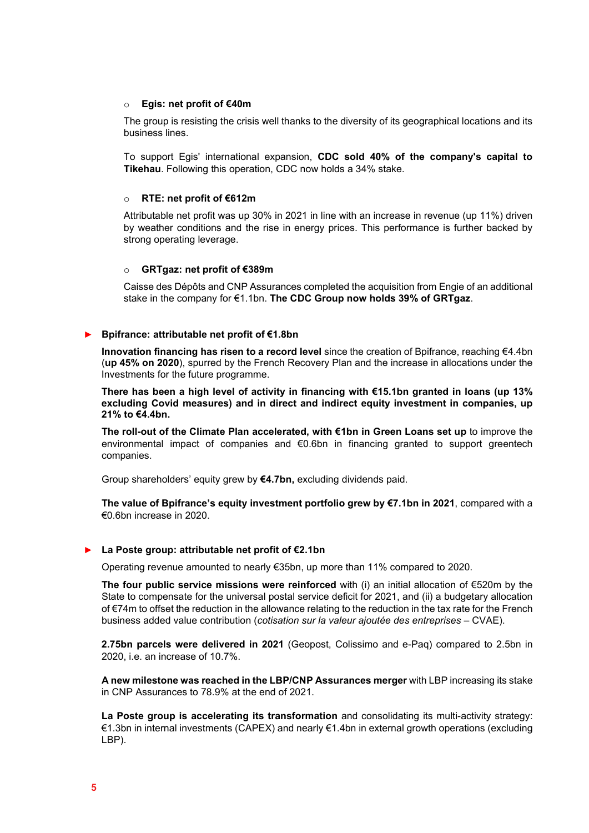### o **Egis: net profit of €40m**

The group is resisting the crisis well thanks to the diversity of its geographical locations and its business lines.

To support Egis' international expansion, **CDC sold 40% of the company's capital to Tikehau**. Following this operation, CDC now holds a 34% stake.

### o **RTE: net profit of €612m**

Attributable net profit was up 30% in 2021 in line with an increase in revenue (up 11%) driven by weather conditions and the rise in energy prices. This performance is further backed by strong operating leverage.

### o **GRTgaz: net profit of €389m**

Caisse des Dépôts and CNP Assurances completed the acquisition from Engie of an additional stake in the company for €1.1bn. **The CDC Group now holds 39% of GRTgaz**.

## ► **Bpifrance: attributable net profit of €1.8bn**

**Innovation financing has risen to a record level** since the creation of Bpifrance, reaching €4.4bn (**up 45% on 2020**), spurred by the French Recovery Plan and the increase in allocations under the Investments for the future programme.

**There has been a high level of activity in financing with €15.1bn granted in loans (up 13% excluding Covid measures) and in direct and indirect equity investment in companies, up 21% to €4.4bn.**

**The roll-out of the Climate Plan accelerated, with €1bn in Green Loans set up** to improve the environmental impact of companies and €0.6bn in financing granted to support greentech companies.

Group shareholders' equity grew by **€4.7bn,** excluding dividends paid.

**The value of Bpifrance's equity investment portfolio grew by €7.1bn in 2021**, compared with a €0.6bn increase in 2020.

## ► **La Poste group: attributable net profit of €2.1bn**

Operating revenue amounted to nearly €35bn, up more than 11% compared to 2020.

**The four public service missions were reinforced** with (i) an initial allocation of €520m by the State to compensate for the universal postal service deficit for 2021, and (ii) a budgetary allocation of €74m to offset the reduction in the allowance relating to the reduction in the tax rate for the French business added value contribution (*cotisation sur la valeur ajoutée des entreprises –* CVAE).

**2.75bn parcels were delivered in 2021** (Geopost, Colissimo and e-Paq) compared to 2.5bn in 2020, i.e. an increase of 10.7%.

**A new milestone was reached in the LBP/CNP Assurances merger** with LBP increasing its stake in CNP Assurances to 78.9% at the end of 2021.

**La Poste group is accelerating its transformation** and consolidating its multi-activity strategy: €1.3bn in internal investments (CAPEX) and nearly €1.4bn in external growth operations (excluding LBP).